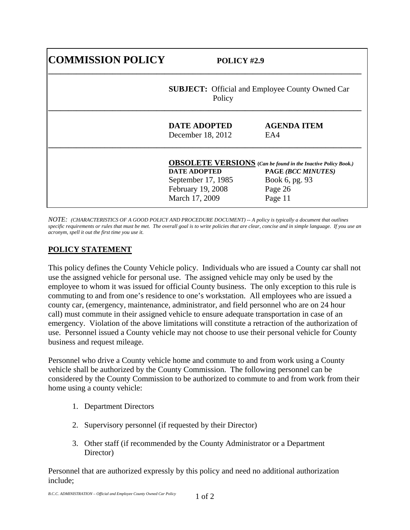| <b>COMMISSION POLICY</b> | POLICY #2.9<br><b>SUBJECT:</b> Official and Employee County Owned Car<br>Policy  |                                                                                                                                    |
|--------------------------|----------------------------------------------------------------------------------|------------------------------------------------------------------------------------------------------------------------------------|
|                          |                                                                                  |                                                                                                                                    |
|                          | <b>DATE ADOPTED</b><br>December 18, 2012                                         | <b>AGENDA ITEM</b><br>EA4                                                                                                          |
|                          | <b>DATE ADOPTED</b><br>September 17, 1985<br>February 19, 2008<br>March 17, 2009 | <b>OBSOLETE VERSIONS</b> (Can be found in the Inactive Policy Book.)<br>PAGE (BCC MINUTES)<br>Book 6, pg. 93<br>Page 26<br>Page 11 |

*NOTE: (CHARACTERISTICS OF A GOOD POLICY AND PROCEDURE DOCUMENT) -- A policy is typically a document that outlines*  specific requirements or rules that must be met. The overall goal is to write policies that are clear, concise and in simple language. If you use an *acronym, spell it out the first time you use it.* 

## **POLICY STATEMENT**

This policy defines the County Vehicle policy. Individuals who are issued a County car shall not use the assigned vehicle for personal use. The assigned vehicle may only be used by the employee to whom it was issued for official County business. The only exception to this rule is commuting to and from one's residence to one's workstation. All employees who are issued a county car, (emergency, maintenance, administrator, and field personnel who are on 24 hour call) must commute in their assigned vehicle to ensure adequate transportation in case of an emergency. Violation of the above limitations will constitute a retraction of the authorization of use. Personnel issued a County vehicle may not choose to use their personal vehicle for County business and request mileage.

Personnel who drive a County vehicle home and commute to and from work using a County vehicle shall be authorized by the County Commission. The following personnel can be considered by the County Commission to be authorized to commute to and from work from their home using a county vehicle:

- 1. Department Directors
- 2. Supervisory personnel (if requested by their Director)
- 3. Other staff (if recommended by the County Administrator or a Department Director)

Personnel that are authorized expressly by this policy and need no additional authorization include;